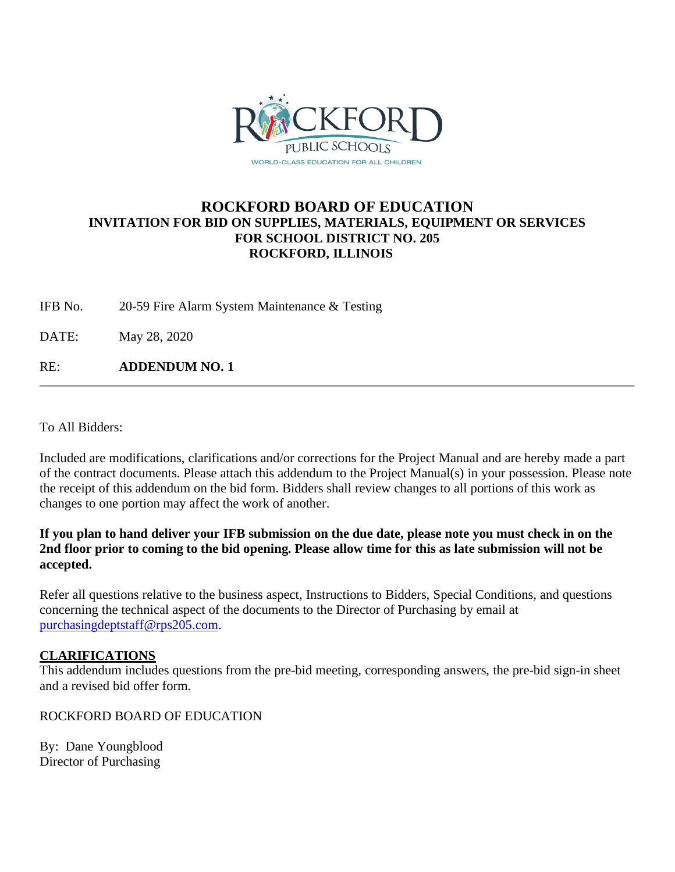

# **ROCKFORD BOARD OF EDUCATION INVITATION FOR BID ON SUPPLIES, MATERIALS, EQUIPMENT OR SERVICES FOR SCHOOL DISTRICT NO. 205 ROCKFORD, ILLINOIS**

IFB No. 20-59 Fire Alarm System Maintenance & Testing

DATE: May 28, 2020

RE: **ADDENDUM NO. 1**

To All Bidders:

Included are modifications, clarifications and/or corrections for the Project Manual and are hereby made a part of the contract documents. Please attach this addendum to the Project Manual(s) in your possession. Please note the receipt of this addendum on the bid form. Bidders shall review changes to all portions of this work as changes to one portion may affect the work of another.

**If you plan to hand deliver your IFB submission on the due date, please note you must check in on the 2nd floor prior to coming to the bid opening. Please allow time for this as late submission will not be accepted.**

Refer all questions relative to the business aspect, Instructions to Bidders, Special Conditions, and questions concerning the technical aspect of the documents to the Director of Purchasing by email at [purchasingdeptstaff@rps205.com.](mailto:purchasingdeptstaff@rps205.com)

## **CLARIFICATIONS**

This addendum includes questions from the pre-bid meeting, corresponding answers, the pre-bid sign-in sheet and a revised bid offer form.

ROCKFORD BOARD OF EDUCATION

By: Dane Youngblood Director of Purchasing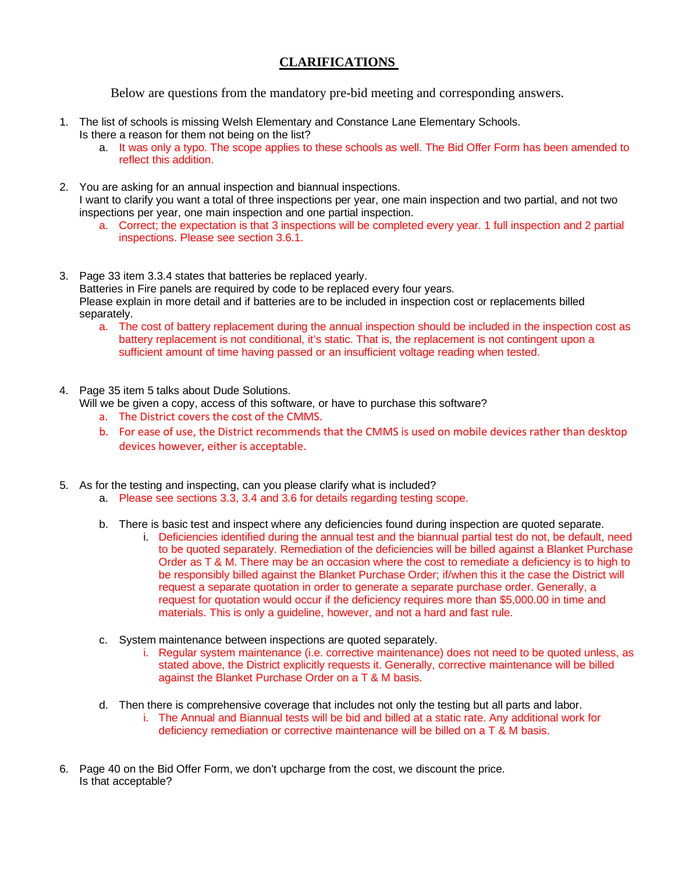## **CLARIFICATIONS**

Below are questions from the mandatory pre-bid meeting and corresponding answers.

- 1. The list of schools is missing Welsh Elementary and Constance Lane Elementary Schools. Is there a reason for them not being on the list?
	- a. It was only a typo. The scope applies to these schools as well. The Bid Offer Form has been amended to reflect this addition.
- 2. You are asking for an annual inspection and biannual inspections. I want to clarify you want a total of three inspections per year, one main inspection and two partial, and not two inspections per year, one main inspection and one partial inspection.
	- a. Correct; the expectation is that 3 inspections will be completed every year. 1 full inspection and 2 partial inspections. Please see section 3.6.1.
- 3. Page 33 item 3.3.4 states that batteries be replaced yearly. Batteries in Fire panels are required by code to be replaced every four years. Please explain in more detail and if batteries are to be included in inspection cost or replacements billed separately.
	- a. The cost of battery replacement during the annual inspection should be included in the inspection cost as battery replacement is not conditional, it's static. That is, the replacement is not contingent upon a sufficient amount of time having passed or an insufficient voltage reading when tested.
- 4. Page 35 item 5 talks about Dude Solutions.

Will we be given a copy, access of this software, or have to purchase this software?

- a. The District covers the cost of the CMMS.
- b. For ease of use, the District recommends that the CMMS is used on mobile devices rather than desktop devices however, either is acceptable.
- 5. As for the testing and inspecting, can you please clarify what is included?
	- a. Please see sections 3.3, 3.4 and 3.6 for details regarding testing scope.
	- b. There is basic test and inspect where any deficiencies found during inspection are quoted separate.
		- i. Deficiencies identified during the annual test and the biannual partial test do not, be default, need to be quoted separately. Remediation of the deficiencies will be billed against a Blanket Purchase Order as T & M. There may be an occasion where the cost to remediate a deficiency is to high to be responsibly billed against the Blanket Purchase Order; if/when this it the case the District will request a separate quotation in order to generate a separate purchase order. Generally, a request for quotation would occur if the deficiency requires more than \$5,000.00 in time and materials. This is only a guideline, however, and not a hard and fast rule.
	- c. System maintenance between inspections are quoted separately.
		- i. Regular system maintenance (i.e. corrective maintenance) does not need to be quoted unless, as stated above, the District explicitly requests it. Generally, corrective maintenance will be billed against the Blanket Purchase Order on a T & M basis.
	- d. Then there is comprehensive coverage that includes not only the testing but all parts and labor.
		- i. The Annual and Biannual tests will be bid and billed at a static rate. Any additional work for deficiency remediation or corrective maintenance will be billed on a T & M basis.
- 6. Page 40 on the Bid Offer Form, we don't upcharge from the cost, we discount the price. Is that acceptable?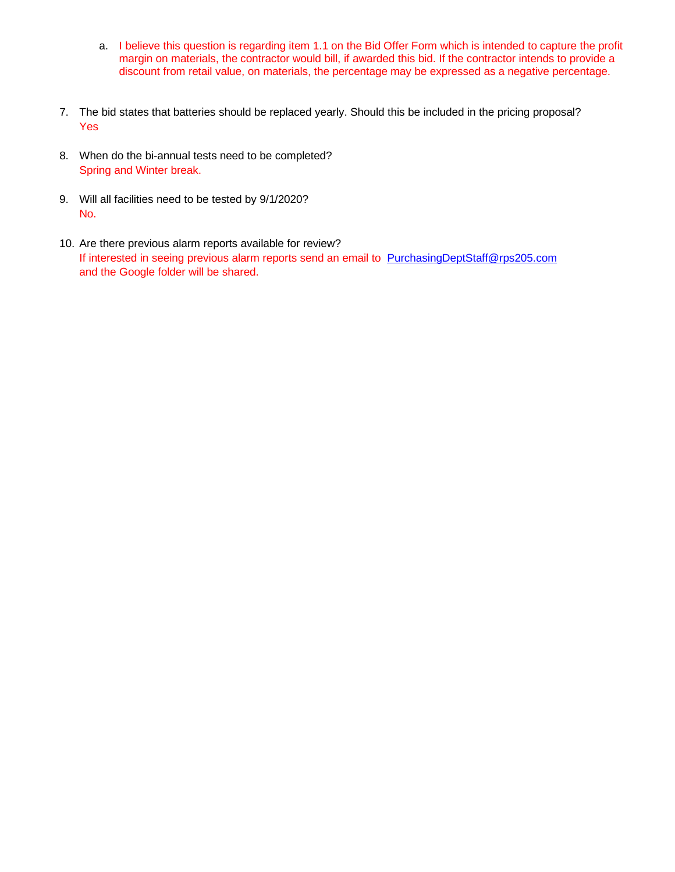- a. I believe this question is regarding item 1.1 on the Bid Offer Form which is intended to capture the profit margin on materials, the contractor would bill, if awarded this bid. If the contractor intends to provide a discount from retail value, on materials, the percentage may be expressed as a negative percentage.
- 7. The bid states that batteries should be replaced yearly. Should this be included in the pricing proposal? Yes
- 8. When do the bi-annual tests need to be completed? Spring and Winter break.
- 9. Will all facilities need to be tested by 9/1/2020? No.
- 10. Are there previous alarm reports available for review? If interested in seeing previous alarm reports send an email to [PurchasingDeptStaff@rps205.com](mailto:PurchasingDeptStaff@rps205.com) and the Google folder will be shared.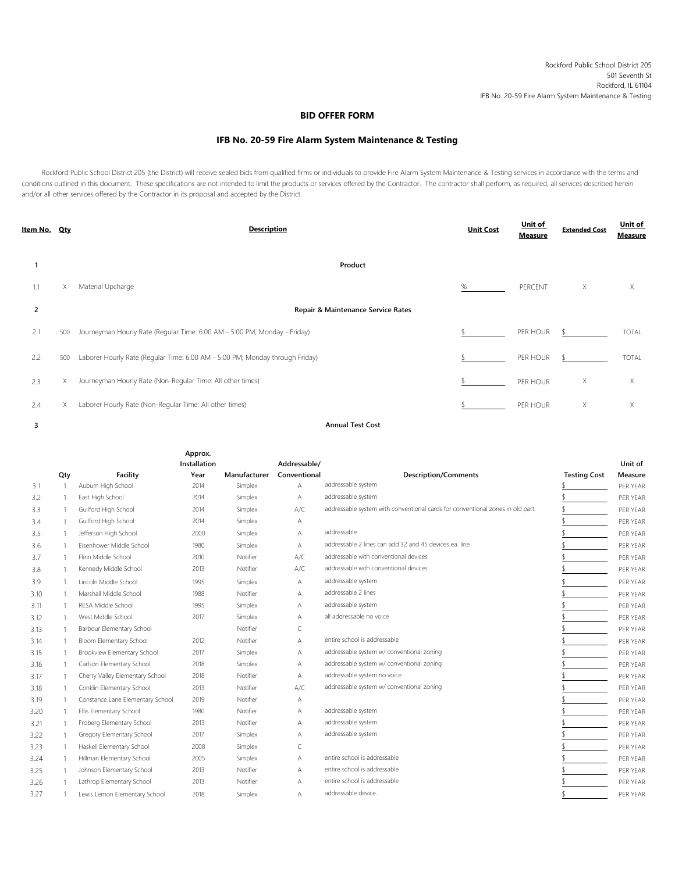## **BID OFFER FORM**

## **IFB No. 20-59 Fire Alarm System Maintenance & Testing**

Rockford Public School District 205 (the District) will receive sealed bids from qualified firms or individuals to provide Fire Alarm System Maintenance & Testing services in accordance with the terms and conditions outlined in this document. These specifications are not intended to limit the products or services offered by the Contractor. The contractor shall perform, as required, all services described herein and/or all other services offered by the Contractor in its proposal and accepted by the District.

| <u>Item No. Qty</u> |     | <b>Description</b>                                                           | <b>Unit Cost</b> | Unit of<br>Measure | <b>Extended Cost</b> | Unit of<br><b>Measure</b> |
|---------------------|-----|------------------------------------------------------------------------------|------------------|--------------------|----------------------|---------------------------|
|                     |     | Product                                                                      |                  |                    |                      |                           |
| 1.1                 | X   | Material Upcharge                                                            | %                | PERCENT            | Χ                    | X                         |
| 2                   |     | Repair & Maintenance Service Rates                                           |                  |                    |                      |                           |
| 2.1                 | 500 | Journeyman Hourly Rate (Regular Time: 6:00 AM - 5:00 PM; Monday - Friday)    |                  | PER HOUR           |                      | <b>TOTAL</b>              |
| 2.2                 | 500 | Laborer Hourly Rate (Regular Time: 6:00 AM - 5:00 PM; Monday through Friday) |                  | PER HOUR           |                      | <b>TOTAL</b>              |
| 2.3                 | X.  | Journeyman Hourly Rate (Non-Regular Time: All other times)                   |                  | PER HOUR           | Χ                    | X                         |
| 2.4                 | x   | Laborer Hourly Rate (Non-Regular Time: All other times)                      |                  | PER HOUR           | Χ                    | X                         |

**3**

**Annual Test Cost**

|      |                |                                  | Approx.<br>Installation |              | Addressable/ |                                                                                |                     | Unit of  |
|------|----------------|----------------------------------|-------------------------|--------------|--------------|--------------------------------------------------------------------------------|---------------------|----------|
|      | Qty            | Facility                         | Year                    | Manufacturer | Conventional | <b>Description/Comments</b>                                                    | <b>Testing Cost</b> | Measure  |
| 3.1  | $\overline{1}$ | Auburn High School               | 2014                    | Simplex      | Α            | addressable system                                                             |                     | PER YEAR |
| 3.2  | -1             | East High School                 | 2014                    | Simplex      | Α            | addressable system                                                             |                     | PER YEAR |
| 3.3  | -1             | Guilford High School             | 2014                    | Simplex      | A/C          | addressable system with conventional cards for conventional zones in old part. |                     | PER YEAR |
| 3.4  | $\mathbf{1}$   | Guilford High School             | 2014                    | Simplex      | Α            |                                                                                |                     | PER YEAR |
| 3.5  | $\overline{1}$ | Jefferson High School            | 2000                    | Simplex      | Α            | addressable                                                                    |                     | PER YEAR |
| 3.6  |                | Eisenhower Middle School         | 1980                    | Simplex      | Α            | addressable 2 lines can add 32 and 45 devices ea. line                         |                     | PER YEAR |
| 3.7  | $\overline{1}$ | Flinn Middle School              | 2010                    | Notifier     | A/C          | addressable with conventional devices                                          |                     | PER YEAR |
| 3.8  |                | Kennedy Middle School            | 2013                    | Notifier     | A/C          | addressable with conventional devices                                          |                     | PER YEAR |
| 3.9  | -1             | Lincoln Middle School            | 1995                    | Simplex      | Α            | addressable system                                                             |                     | PER YEAR |
| 3.10 | -1             | Marshall Middle School           | 1988                    | Notifier     | A            | addressable 2 lines                                                            |                     | PER YEAR |
| 3.11 | $\mathbf{1}$   | RESA Middle School               | 1995                    | Simplex      | Α            | addressable system                                                             |                     | PER YEAR |
| 3.12 | $\overline{1}$ | West Middle School               | 2017                    | Simplex      | Α            | all addressable no voice                                                       |                     | PER YEAR |
| 3.13 | $\mathbf{1}$   | Barbour Elementary School        |                         | Notifier     | C            |                                                                                |                     | PER YEAR |
| 3.14 | $\overline{1}$ | Bloom Elementary School          | 2012                    | Notifier     | Α            | entire school is addressable                                                   |                     | PFR YFAR |
| 3.15 | $\mathbf{1}$   | Brookview Elementary School      | 2017                    | Simplex      | Α            | addressable system w/ conventional zoning                                      |                     | PER YEAR |
| 3.16 | -1             | Carlson Elementary School        | 2018                    | Simplex      | Α            | addressable system w/ conventional zoning                                      |                     | PER YEAR |
| 3.17 | $\overline{1}$ | Cherry Valley Elementary School  | 2018                    | Notifier     | Α            | addressable system no voice                                                    |                     | PER YEAR |
| 3.18 | $\mathbf{1}$   | Conklin Elementary School        | 2013                    | Notifier     | A/C          | addressable system w/ conventional zoning                                      |                     | PER YEAR |
| 3.19 |                | Constance Lane Elementary School | 2019                    | Notifier     | Α            |                                                                                |                     | PER YEAR |
| 3.20 | $\overline{1}$ | Ellis Elementary School          | 1980                    | Notifier     | Α            | addressable system                                                             |                     | PER YEAR |
| 3.21 | $\overline{1}$ | Froberg Elementary School        | 2013                    | Notifier     | А            | addressable system                                                             |                     | PER YEAR |
| 3.22 | $\mathbf{1}$   | Gregory Elementary School        | 2017                    | Simplex      | Α            | addressable system                                                             |                     | PER YEAR |
| 3.23 | -1             | Haskell Elementary School        | 2008                    | Simplex      | C            |                                                                                |                     | PER YEAR |
| 3.24 | $\overline{1}$ | Hillman Elementary School        | 2005                    | Simplex      | Α            | entire school is addressable                                                   |                     | PER YEAR |
| 3.25 | $\overline{1}$ | Johnson Elementary School        | 2013                    | Notifier     | А            | entire school is addressable                                                   |                     | PER YEAR |
| 3.26 |                | Lathrop Elementary School        | 2013                    | Notifier     | Α            | entire school is addressable                                                   |                     | PER YEAR |
| 3.27 |                | Lewis Lemon Elementary School    | 2018                    | Simplex      | Α            | addressable device.                                                            |                     | PER YEAR |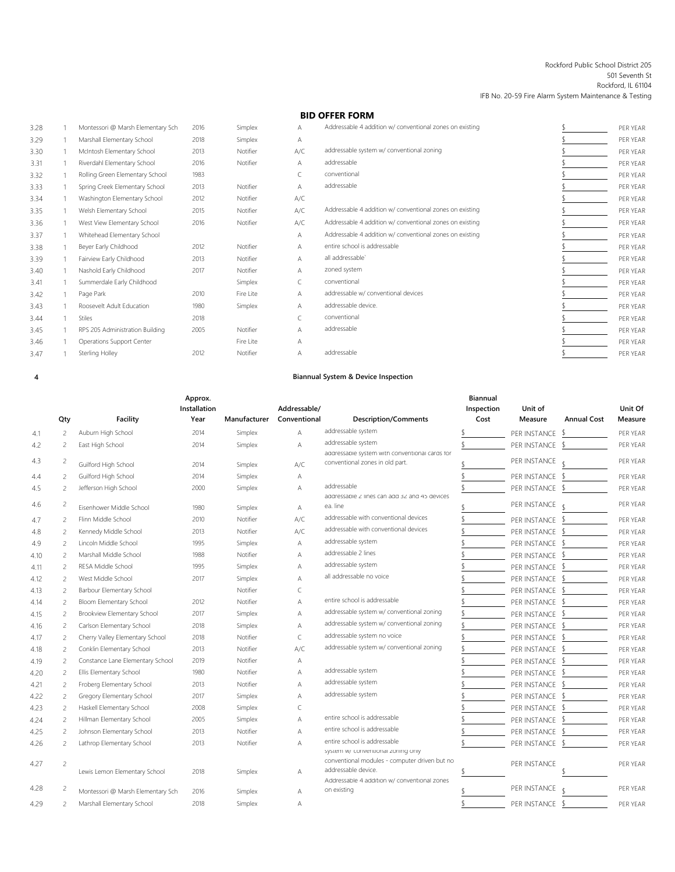#### Rockford Public School District 205 501 Seventh St Rockford, IL 61104 IFB No. 20-59 Fire Alarm System Maintenance & Testing

## **BID OFFER FORM**

| 3.28 | Montessori @ Marsh Elementary Sch | 2016 | Simplex   | А   | Addressable 4 addition w/ conventional zones on existing | PER YEAR |
|------|-----------------------------------|------|-----------|-----|----------------------------------------------------------|----------|
| 3.29 | Marshall Elementary School        | 2018 | Simplex   | Α   |                                                          | PER YEAR |
| 3.30 | McIntosh Elementary School        | 2013 | Notifier  | A/C | addressable system w/ conventional zoning                | PER YEAR |
| 3.31 | Riverdahl Elementary School       | 2016 | Notifier  | A   | addressable                                              | PER YEAR |
| 3.32 | Rolling Green Elementary School   | 1983 |           |     | conventional                                             | PER YEAR |
| 3.33 | Spring Creek Elementary School    | 2013 | Notifier  | Α   | addressable                                              | PER YEAR |
| 3.34 | Washington Elementary School      | 2012 | Notifier  | A/C |                                                          | PER YEAR |
| 3.35 | Welsh Elementary School           | 2015 | Notifier  | A/C | Addressable 4 addition w/ conventional zones on existing | PER YEAR |
| 3.36 | West View Elementary School       | 2016 | Notifier  | A/C | Addressable 4 addition w/ conventional zones on existing | PER YEAR |
| 3.37 | Whitehead Elementary School       |      |           | A   | Addressable 4 addition w/ conventional zones on existing | PER YEAR |
| 3.38 | Beyer Early Childhood             | 2012 | Notifier  | Α   | entire school is addressable                             | PER YEAR |
| 3.39 | Fairview Early Childhood          | 2013 | Notifier  | A   | all addressable                                          | PER YEAR |
| 3.40 | Nashold Early Childhood           | 2017 | Notifier  | Α   | zoned system                                             | PER YEAR |
| 3.41 | Summerdale Early Childhood        |      | Simplex   |     | conventional                                             | PER YEAR |
| 3.42 | Page Park                         | 2010 | Fire Lite | Α   | addressable w/ conventional devices                      | PER YEAR |
| 3.43 | Roosevelt Adult Education         | 1980 | Simplex   | A   | addressable device.                                      | PER YEAR |
| 3.44 | <b>Stiles</b>                     | 2018 |           |     | conventional                                             | PER YEAR |
| 3.45 | RPS 205 Administration Building   | 2005 | Notifier  | Α   | addressable                                              | PER YEAR |
| 3.46 | Operations Support Center         |      | Fire Lite | Α   |                                                          | PER YEAR |
| 3.47 | Sterling Holley                   | 2012 | Notifier  | А   | addressable                                              | PER YEAR |
|      |                                   |      |           |     |                                                          |          |

**4**

## **Biannual System & Device Inspection**

|            |                          |                                   | Approx.<br>Installation |              | Addressable/   |                                                                     | <b>Biannual</b><br>Inspection | Unit of         |                    | Unit Of  |
|------------|--------------------------|-----------------------------------|-------------------------|--------------|----------------|---------------------------------------------------------------------|-------------------------------|-----------------|--------------------|----------|
|            | Qty                      | Facility                          | Year                    | Manufacturer | Conventional   | <b>Description/Comments</b>                                         | Cost                          | Measure         | <b>Annual Cost</b> | Measure  |
| 4.1        | $\overline{c}$           | Auburn High School                | 2014                    | Simplex      | $\overline{A}$ | addressable system                                                  |                               | PER INSTANCE    | - \$               | PER YEAR |
| 4.2        | $\overline{c}$           | East High School                  | 2014                    | Simplex      | A              | addressable system                                                  |                               | PER INSTANCE    | -S                 | PER YEAR |
|            |                          |                                   |                         |              |                | addressable system with conventional cards for                      |                               |                 |                    |          |
| 4.3        | 2                        | Guilford High School              | 2014                    | Simplex      | A/C            | conventional zones in old part.                                     |                               | PER INSTANCE    | $\triangleleft$    | PER YEAR |
| 4.4        | $\overline{\phantom{a}}$ | Guilford High School              | 2014                    | Simplex      | Α              |                                                                     |                               | PER INSTANCE \$ |                    | PFR YFAR |
| 4.5        | 2                        | Jefferson High School             | 2000                    | Simplex      | A              | addressable                                                         |                               | PER INSTANCE    | - \$               | PER YEAR |
| 4.6        | 2                        | Eisenhower Middle School          | 1980                    | Simplex      | $\overline{A}$ | addressable 2 lines can add 32 and 45 devices<br>ea. line           |                               | PER INSTANCE    |                    | PER YEAR |
| 4.7        | $\overline{z}$           | Flinn Middle School               | 2010                    | Notifier     | A/C            | addressable with conventional devices                               |                               | PER INSTANCE \$ |                    | PER YEAR |
|            | $\overline{c}$           | Kennedy Middle School             | 2013                    | Notifier     | A/C            | addressable with conventional devices                               |                               | PER INSTANCE    | $\mathcal{L}$      | PFR YFAR |
| 4.8<br>4.9 | $\overline{c}$           | Lincoln Middle School             | 1995                    | Simplex      | A              | addressable system                                                  |                               | PER INSTANCE    | - \$               | PER YEAR |
| 4.10       | $\overline{\phantom{a}}$ | Marshall Middle School            | 1988                    | Notifier     | A              | addressable 2 lines                                                 |                               | PER INSTANCE    | - \$               | PER YEAR |
| 4.11       | $\overline{\phantom{a}}$ | RESA Middle School                | 1995                    | Simplex      | A              | addressable system                                                  |                               | PER INSTANCE    | -\$                | PER YEAR |
| 4.12       | $\overline{c}$           | West Middle School                | 2017                    | Simplex      | $\overline{A}$ | all addressable no voice                                            |                               | PER INSTANCE    | - \$               | PER YEAR |
| 4.13       | $\overline{c}$           | Barbour Elementary School         |                         | Notifier     | C              |                                                                     |                               | PER INSTANCE    | - 5                | PER YEAR |
| 4.14       | $\overline{c}$           | Bloom Elementary School           | 2012                    | Notifier     | А              | entire school is addressable                                        |                               | PER INSTANCE    | - \$               | PER YEAR |
| 4.15       | 2                        | Brookview Elementary School       | 2017                    | Simplex      | A              | addressable system w/ conventional zoning                           |                               | PER INSTANCE \$ |                    | PER YEAR |
| 4.16       | 2                        | Carlson Elementary School         | 2018                    | Simplex      | A              | addressable system w/ conventional zoning                           |                               | PER INSTANCE    | -\$                | PER YEAR |
| 4.17       | 2                        | Cherry Valley Elementary School   | 2018                    | Notifier     | $\subset$      | addressable system no voice                                         |                               | PER INSTANCE    |                    | PER YEAR |
| 4.18       | 2                        | Conklin Elementary School         | 2013                    | Notifier     | A/C            | addressable system w/ conventional zoning                           |                               | PER INSTANCE    | -S                 | PER YEAR |
| 4.19       | $\overline{c}$           | Constance Lane Elementary School  | 2019                    | Notifier     | A              |                                                                     |                               | PER INSTANCE    | S                  | PER YEAR |
| 4.20       | $\overline{c}$           | Ellis Elementary School           | 1980                    | Notifier     | А              | addressable system                                                  |                               | PER INSTANCE    | -\$                | PER YEAR |
| 4.21       | $\overline{c}$           | Froberg Elementary School         | 2013                    | Notifier     | A              | addressable system                                                  |                               | PER INSTANCE    |                    | PER YEAR |
| 4.22       | $\overline{c}$           | Gregory Elementary School         | 2017                    | Simplex      | $\overline{A}$ | addressable system                                                  |                               | PER INSTANCE    |                    | PER YEAR |
| 4.23       | $\overline{c}$           | Haskell Elementary School         | 2008                    | Simplex      | C              |                                                                     |                               | PER INSTANCE    |                    | PER YEAR |
| 4.24       | $\overline{c}$           | Hillman Elementary School         | 2005                    | Simplex      | $\overline{A}$ | entire school is addressable                                        |                               | PER INSTANCE    | -S                 | PER YEAR |
| 4.25       | $\overline{c}$           | Johnson Elementary School         | 2013                    | Notifier     | $\overline{A}$ | entire school is addressable                                        |                               | PER INSTANCE    | - S                | PER YEAR |
| 4.26       | $\overline{c}$           | Lathrop Elementary School         | 2013                    | Notifier     | $\overline{A}$ | entire school is addressable                                        |                               | PER INSTANCE \$ |                    | PER YEAR |
|            |                          |                                   |                         |              |                | system w/ conventional zoning only                                  |                               |                 |                    |          |
| 4.27       | $\overline{c}$           |                                   |                         |              |                | conventional modules - computer driven but no                       |                               | PER INSTANCE    |                    | PER YEAR |
|            |                          | Lewis Lemon Elementary School     | 2018                    | Simplex      | А              | addressable device.<br>Addressable 4 addition w/ conventional zones |                               |                 |                    |          |
| 4.28       | 2                        | Montessori @ Marsh Elementary Sch | 2016                    | Simplex      | A              | on existing                                                         |                               | PER INSTANCE    |                    | PER YEAR |
| 4.29       | 2                        | Marshall Elementary School        | 2018                    | Simplex      | А              |                                                                     |                               | PER INSTANCE \$ |                    | PER YEAR |
|            |                          |                                   |                         |              |                |                                                                     |                               |                 |                    |          |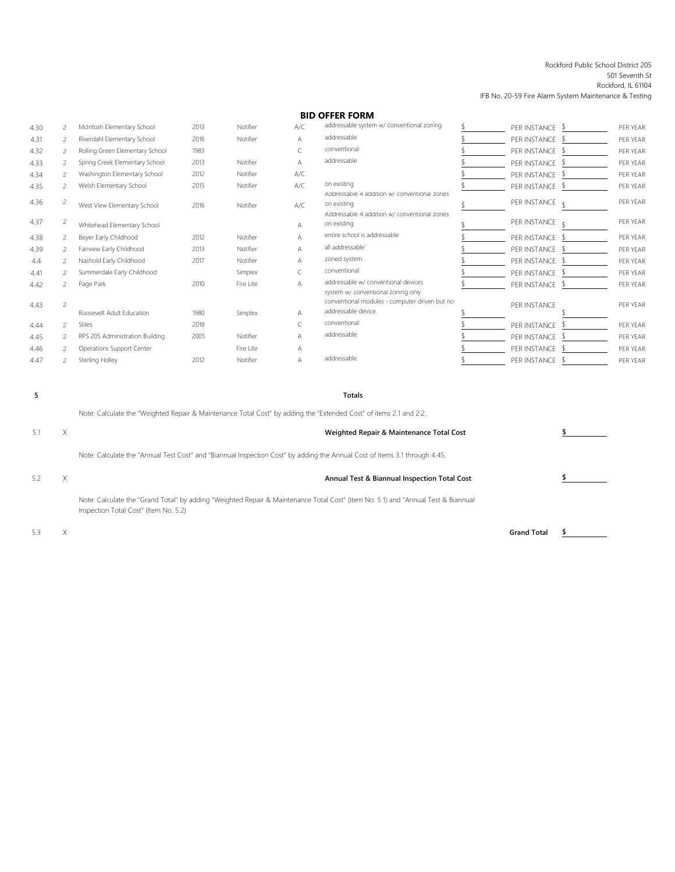#### Rockford Public School District 205

501 Seventh St Rockford, IL 61104

IFB No. 20-59 Fire Alarm System Maintenance & Testing

## **BID OFFER FORM**

| 4.30 |                          | McIntosh Elementary School      | 2013 | Notifier  | A/C | addressable system w/ conventional zoning                                                                   | PER INSTANCE \$ | PER YEAR |
|------|--------------------------|---------------------------------|------|-----------|-----|-------------------------------------------------------------------------------------------------------------|-----------------|----------|
| 4.31 | 2                        | Riverdahl Elementary School     | 2016 | Notifier  | Α   | addressable                                                                                                 | PER INSTANCE \$ | PER YEAR |
| 4.32 | 2                        | Rolling Green Elementary School | 1983 |           |     | conventional                                                                                                | PER INSTANCE \$ | PER YEAR |
| 4.33 | 2                        | Spring Creek Elementary School  | 2013 | Notifier  | Α   | addressable                                                                                                 | PER INSTANCE \$ | PER YEAR |
| 4.34 | 2                        | Washington Elementary School    | 2012 | Notifier  | A/C |                                                                                                             | PER INSTANCE \$ | PER YEAR |
| 4.35 |                          | Welsh Elementary School         | 2015 | Notifier  | A/C | on existing                                                                                                 | PER INSTANCE \$ | PER YEAR |
| 4.36 | 2                        | West View Elementary School     | 2016 | Notifier  | A/C | Addressable 4 addition w/ conventional zones<br>on existing<br>Addressable 4 addition w/ conventional zones | PER INSTANCE    | PER YEAR |
| 4.37 | 2                        | Whitehead Elementary School     |      |           | Α   | on existing                                                                                                 | PER INSTANCE    | PER YEAR |
| 4.38 | 2                        | Beyer Early Childhood           | 2012 | Notifier  | Α   | entire school is addressable                                                                                | PER INSTANCE \$ | PER YEAR |
| 4.39 | 2                        | Fairview Early Childhood        | 2013 | Notifier  | Α   | all addressable'                                                                                            | PER INSTANCE \$ | PER YEAR |
| 4.4  | 2                        | Nashold Early Childhood         | 2017 | Notifier  | A   | zoned system                                                                                                | PER INSTANCE \$ | PER YEAR |
| 4.41 |                          | Summerdale Early Childhood      |      | Simplex   |     | conventional                                                                                                | PER INSTANCE \$ | PER YEAR |
| 4.42 |                          | Page Park                       | 2010 | Fire Lite | Α   | addressable w/ conventional devices<br>system w/ conventional zoning only                                   | PER INSTANCE \$ | PER YEAR |
| 4.43 | 2                        | Roosevelt Adult Education       | 1980 | Simplex   | А   | conventional modules - computer driven but no<br>addressable device.                                        | PER INSTANCE    | PER YEAR |
| 4.44 | $\overline{\phantom{a}}$ | <b>Stiles</b>                   | 2018 |           |     | conventional                                                                                                | PER INSTANCE \$ | PER YEAR |
| 4.45 |                          | RPS 205 Administration Building | 2005 | Notifier  |     | addressable                                                                                                 | PER INSTANCE \$ | PER YEAR |
| 4.46 |                          | Operations Support Center       |      | Fire Lite |     |                                                                                                             | PER INSTANCE \$ | PER YEAR |
| 4.47 |                          | Sterling Holley                 | 2012 | Notifier  | А   | addressable                                                                                                 | PER INSTANCE \$ | PER YEAR |
|      |                          |                                 |      |           |     |                                                                                                             |                 |          |

**5**

#### **Totals**

Note: Calculate the "Weighted Repair & Maintenance Total Cost" by adding the "Extended Cost" of items 2.1 and 2.2.

5.1 X **Weighted Repair & Maintenance Total Cost \$** Note: Calculate the "Annual Test Cost" and "Biannual Inspection Cost" by adding the Annual Cost of Items 3.1 through 4.45. 5.2 X **Annual Test & Biannual Inspection Total Cost \$** Note: Calculate the "Grand Total" by adding "Weighted Repair & Maintenance Total Cost" (Item No. 5.1) and "Annual Test & Biannual Inspection Total Cost" (Item No. 5.2)

5.3 X **Grand Total \$**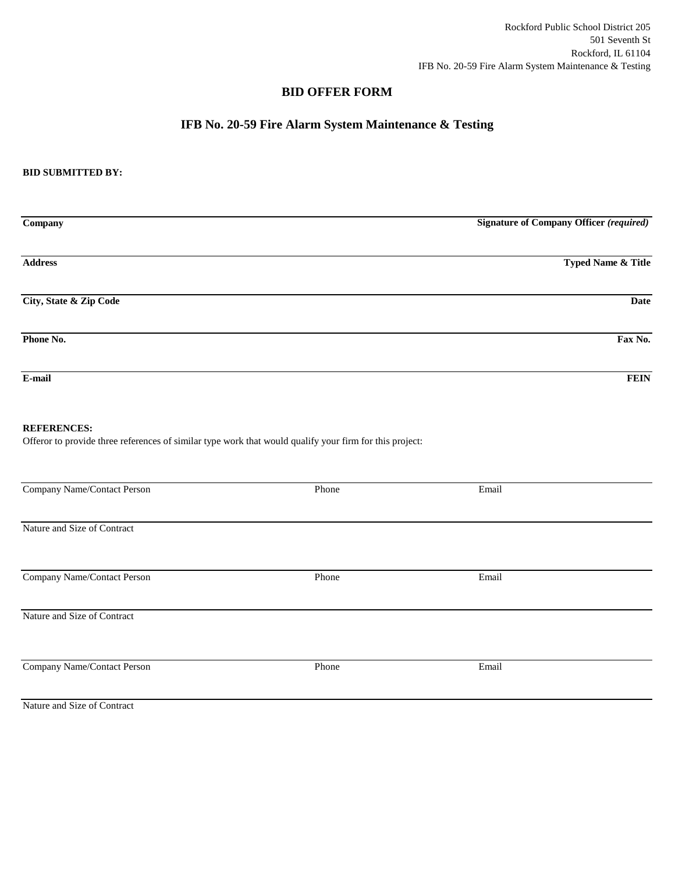Rockford Public School District 205 501 Seventh St Rockford, IL 61104 IFB No. 20-59 Fire Alarm System Maintenance & Testing

## **BID OFFER FORM**

# **IFB No. 20-59 Fire Alarm System Maintenance & Testing**

### **BID SUBMITTED BY:**

| Company                | <b>Signature of Company Officer (required)</b> |
|------------------------|------------------------------------------------|
|                        |                                                |
| <b>Address</b>         | <b>Typed Name &amp; Title</b>                  |
| City, State & Zip Code | <b>Date</b>                                    |
| Phone No.              | Fax No.                                        |
| E-mail                 | <b>FEIN</b>                                    |

### **REFERENCES:**

Offeror to provide three references of similar type work that would qualify your firm for this project:

| Company Name/Contact Person | Phone | Email |  |
|-----------------------------|-------|-------|--|
|                             |       |       |  |
| Nature and Size of Contract |       |       |  |
|                             |       |       |  |
| Company Name/Contact Person | Phone | Email |  |
|                             |       |       |  |
| Nature and Size of Contract |       |       |  |
|                             |       |       |  |
| Company Name/Contact Person | Phone | Email |  |
|                             |       |       |  |
| Nature and Size of Contract |       |       |  |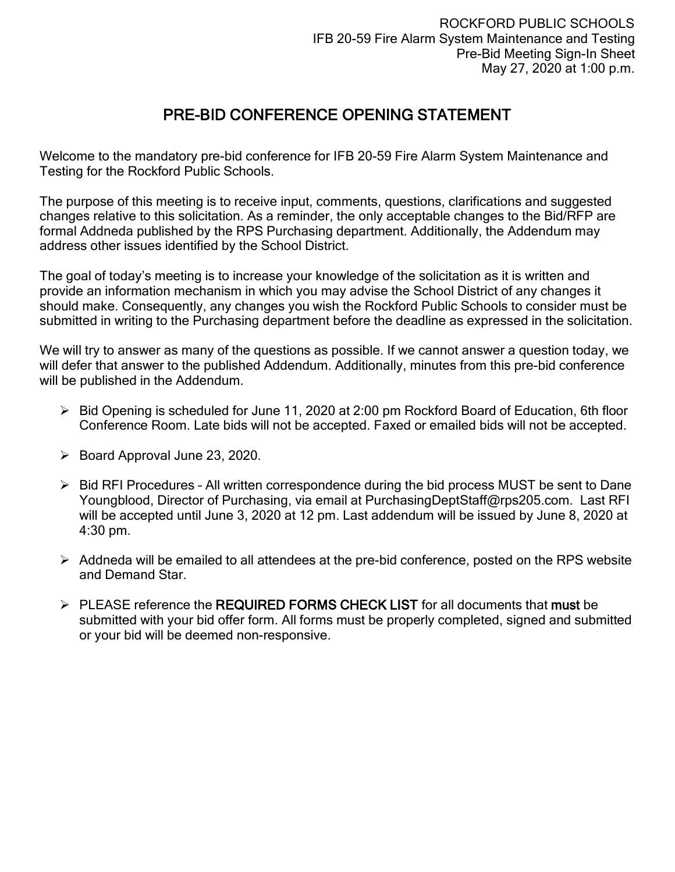# PRE-BID CONFERENCE OPENING STATEMENT

Welcome to the mandatory pre-bid conference for IFB 20-59 Fire Alarm System Maintenance and Testing for the Rockford Public Schools.

The purpose of this meeting is to receive input, comments, questions, clarifications and suggested changes relative to this solicitation. As a reminder, the only acceptable changes to the Bid/RFP are formal Addneda published by the RPS Purchasing department. Additionally, the Addendum may address other issues identified by the School District.

The goal of today's meeting is to increase your knowledge of the solicitation as it is written and provide an information mechanism in which you may advise the School District of any changes it should make. Consequently, any changes you wish the Rockford Public Schools to consider must be submitted in writing to the Purchasing department before the deadline as expressed in the solicitation.

We will try to answer as many of the questions as possible. If we cannot answer a question today, we will defer that answer to the published Addendum. Additionally, minutes from this pre-bid conference will be published in the Addendum.

- $\triangleright$  Bid Opening is scheduled for June 11, 2020 at 2:00 pm Rockford Board of Education, 6th floor Conference Room. Late bids will not be accepted. Faxed or emailed bids will not be accepted.
- $\triangleright$  Board Approval June 23, 2020.
- $\triangleright$  Bid RFI Procedures All written correspondence during the bid process MUST be sent to Dane Youngblood, Director of Purchasing, via email at PurchasingDeptStaff@rps205.com. Last RFI will be accepted until June 3, 2020 at 12 pm. Last addendum will be issued by June 8, 2020 at 4:30 pm.
- $\triangleright$  Addneda will be emailed to all attendees at the pre-bid conference, posted on the RPS website and Demand Star.
- $\triangleright$  PLEASE reference the REQUIRED FORMS CHECK LIST for all documents that must be submitted with your bid offer form. All forms must be properly completed, signed and submitted or your bid will be deemed non-responsive.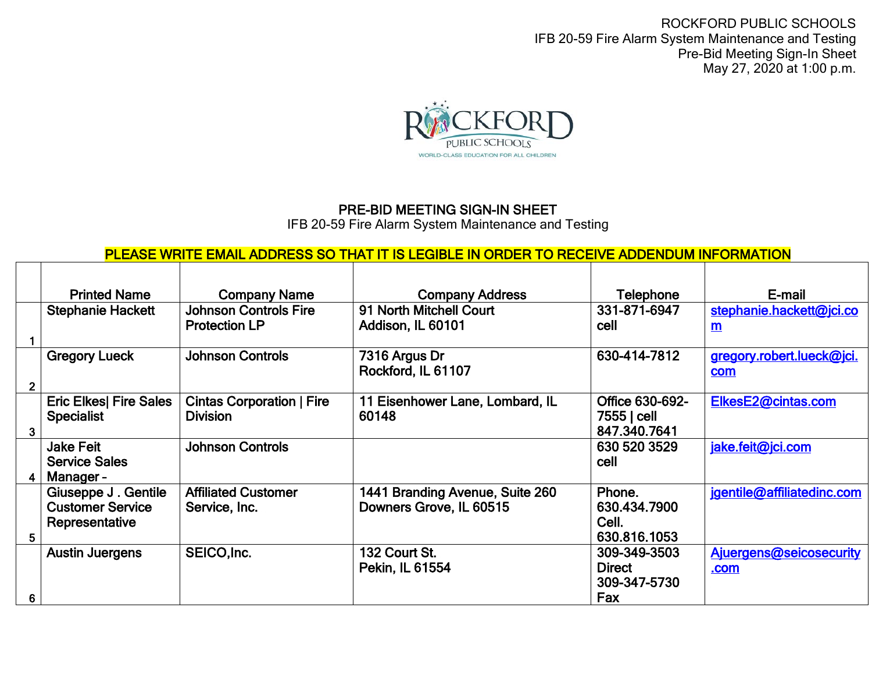ROCKFORD PUBLIC SCHOOLS IFB 20-59 Fire Alarm System Maintenance and Testing Pre-Bid Meeting Sign-In Sheet May 27, 2020 at 1:00 p.m.



# PRE-BID MEETING SIGN-IN SHEET

IFB 20-59 Fire Alarm System Maintenance and Testing

# PLEASE WRITE EMAIL ADDRESS SO THAT IT IS LEGIBLE IN ORDER TO RECEIVE ADDENDUM INFORMATION

|   | <b>Printed Name</b>                                              | <b>Company Name</b>                                  | <b>Company Address</b>                                     | <b>Telephone</b>                                     | E-mail                                   |
|---|------------------------------------------------------------------|------------------------------------------------------|------------------------------------------------------------|------------------------------------------------------|------------------------------------------|
|   | <b>Stephanie Hackett</b>                                         | <b>Johnson Controls Fire</b><br><b>Protection LP</b> | 91 North Mitchell Court<br>Addison, IL 60101               | 331-871-6947<br>cell                                 | stephanie.hackett@jci.co<br>$\mathsf{m}$ |
|   |                                                                  |                                                      |                                                            |                                                      |                                          |
|   | <b>Gregory Lueck</b>                                             | <b>Johnson Controls</b>                              | 7316 Argus Dr<br>Rockford, IL 61107                        | 630-414-7812                                         | gregory.robert.lueck@jci.<br>com         |
|   |                                                                  |                                                      |                                                            |                                                      |                                          |
| 3 | <b>Eric Elkes  Fire Sales</b><br><b>Specialist</b>               | <b>Cintas Corporation   Fire</b><br><b>Division</b>  | 11 Eisenhower Lane, Lombard, IL<br>60148                   | Office 630-692-<br>7555   cell<br>847.340.7641       | ElkesE2@cintas.com                       |
|   | <b>Jake Feit</b><br><b>Service Sales</b><br>Manager-             | <b>Johnson Controls</b>                              |                                                            | 630 520 3529<br>cell                                 | jake.feit@jci.com                        |
| 5 | Giuseppe J. Gentile<br><b>Customer Service</b><br>Representative | <b>Affiliated Customer</b><br>Service, Inc.          | 1441 Branding Avenue, Suite 260<br>Downers Grove, IL 60515 | Phone.<br>630.434.7900<br>Cell.<br>630.816.1053      | jgentile@affiliatedinc.com               |
| 6 | <b>Austin Juergens</b>                                           | SEICO, Inc.                                          | 132 Court St.<br>Pekin, IL 61554                           | 309-349-3503<br><b>Direct</b><br>309-347-5730<br>Fax | Ajuergens@seicosecurity<br>.com          |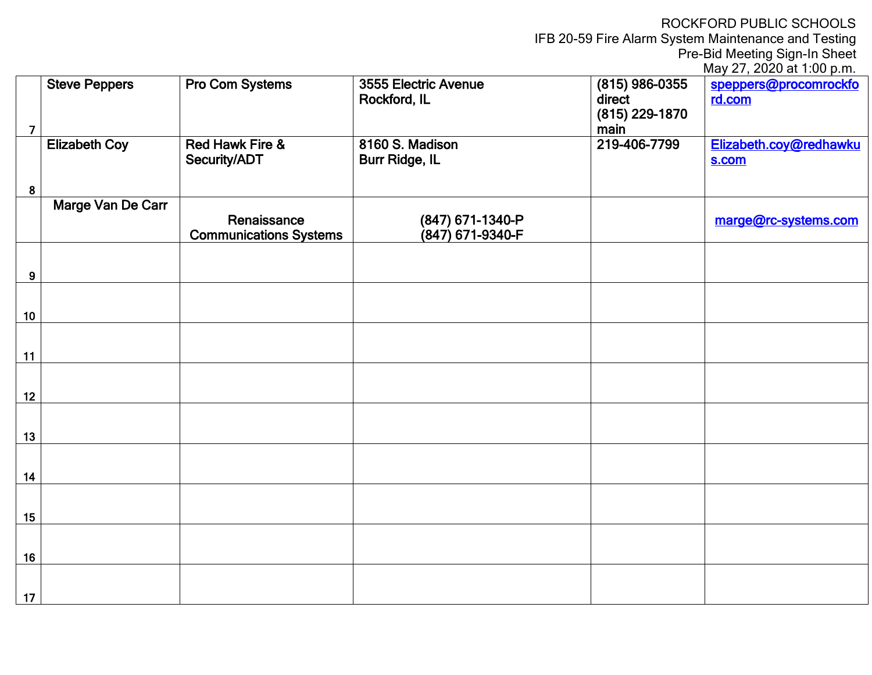ROCKFORD PUBLIC SCHOOLS

IFB 20-59 Fire Alarm System Maintenance and Testing

Pre-Bid Meeting Sign-In Sheet

| May 27, 2020 at 1:00 p.m. |  |  |
|---------------------------|--|--|
|                           |  |  |

|                | <b>Steve Peppers</b> | <b>Pro Com Systems</b>                       | 3555 Electric Avenue<br>Rockford, IL     | $(815)$ 986-0355<br>direct | speppers@procomrockfo<br>rd.com |
|----------------|----------------------|----------------------------------------------|------------------------------------------|----------------------------|---------------------------------|
| $\overline{7}$ |                      |                                              |                                          | (815) 229-1870<br>main     |                                 |
|                | <b>Elizabeth Coy</b> | <b>Red Hawk Fire &amp;</b><br>Security/ADT   | 8160 S. Madison<br><b>Burr Ridge, IL</b> | 219-406-7799               | Elizabeth.coy@redhawku<br>s.com |
| 8              |                      |                                              |                                          |                            |                                 |
|                | Marge Van De Carr    | Renaissance<br><b>Communications Systems</b> | (847) 671-1340-P<br>(847) 671-9340-F     |                            | marge@rc-systems.com            |
| $9^{\circ}$    |                      |                                              |                                          |                            |                                 |
| 10             |                      |                                              |                                          |                            |                                 |
| 11             |                      |                                              |                                          |                            |                                 |
| 12             |                      |                                              |                                          |                            |                                 |
| 13             |                      |                                              |                                          |                            |                                 |
| 14             |                      |                                              |                                          |                            |                                 |
| 15             |                      |                                              |                                          |                            |                                 |
| 16             |                      |                                              |                                          |                            |                                 |
| 17             |                      |                                              |                                          |                            |                                 |